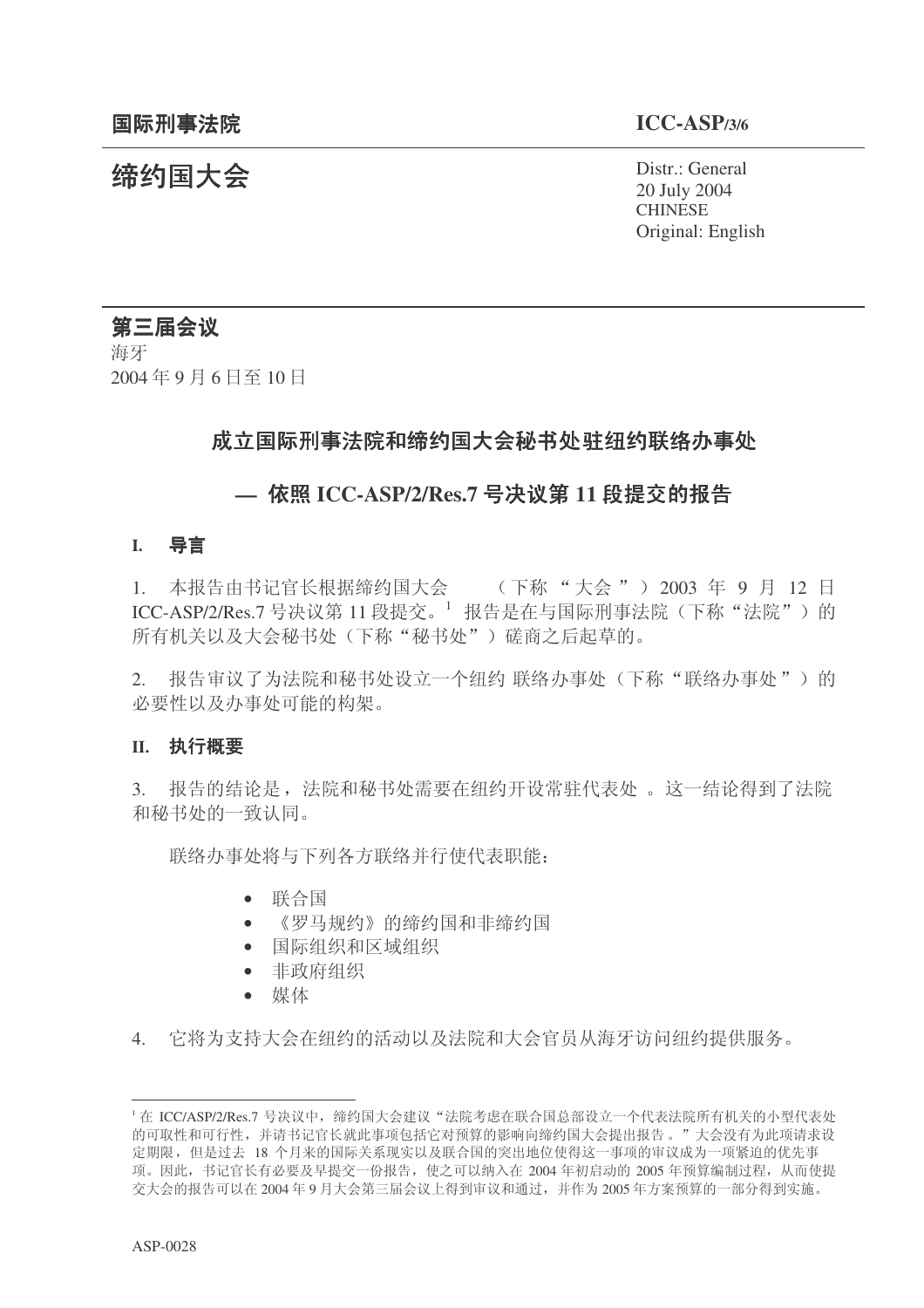统约国大会 Pistr.: General 20 July 2004 **CHINESE** Original: English

# 第三届会议

海牙 2004年9月6日至10日

## 成立国际刑事法院和缔约国大会秘书处 驻纽约联络办事处

# — 依照 ICC-ASP/2/Res.7 号决议第 11 段提交的报告

#### **I.** 导言

1. 本报告由书记官长根据缔约国大会 (下称"大会") 2003 年 9 月 12 日 ICC-ASP/2/Res.7 号决议第 11 段提交。<sup>1</sup> 报告是在与国际刑事法院(下称"法院")的 所有机关以及大会秘书处(下称"秘书处")磋商之后起草的。

2. 报告审议了为法院和秘书处设立一个纽约联络办事处(下称"联络办事处")的 必要性以及办事处可能的构架。

#### **II.** 执行概要

3. 报告的结论是, 法院和秘书处需要在纽约开设常驻代表处 。这一结论得到了法院 和秘书处的一致认同。

联络办事处将与下列各方联络并行使代表职能:

- $\bullet$  联合国
- 《罗马规约》的缔约国和非缔约国
- 国际组织和区域组织
- 非政府组织
- 媒体

4. 它将为支持大会在纽约的活动以及法院和大会官员从海牙访问纽约提供服务。

<sup>「</sup>在 ICC/ASP/2/Res.7 号决议中, 缔约国大会建议"法院考虑在联合国总部设立一个代表法院所有机关的小型代表处 的可取性和可行性,并请书记官长就此事项包括它对预算的影响向缔约国大会提出报告。"大会没有为此项请求设 定期限,但是过去 18 个月来的国际关系现实以及联合国的突出地位使得这一事项的审议成为一项紧迫的优先事 项。因此,书记官长有必要及早提交一份报告,使之可以纳入在 2004 年初启动的 2005 年预算编制过程, 从而使提 交大会的报告可以在2004年9月大会第三届会议上得到审议和通过,并作为2005年方案预算的一部分得到实施。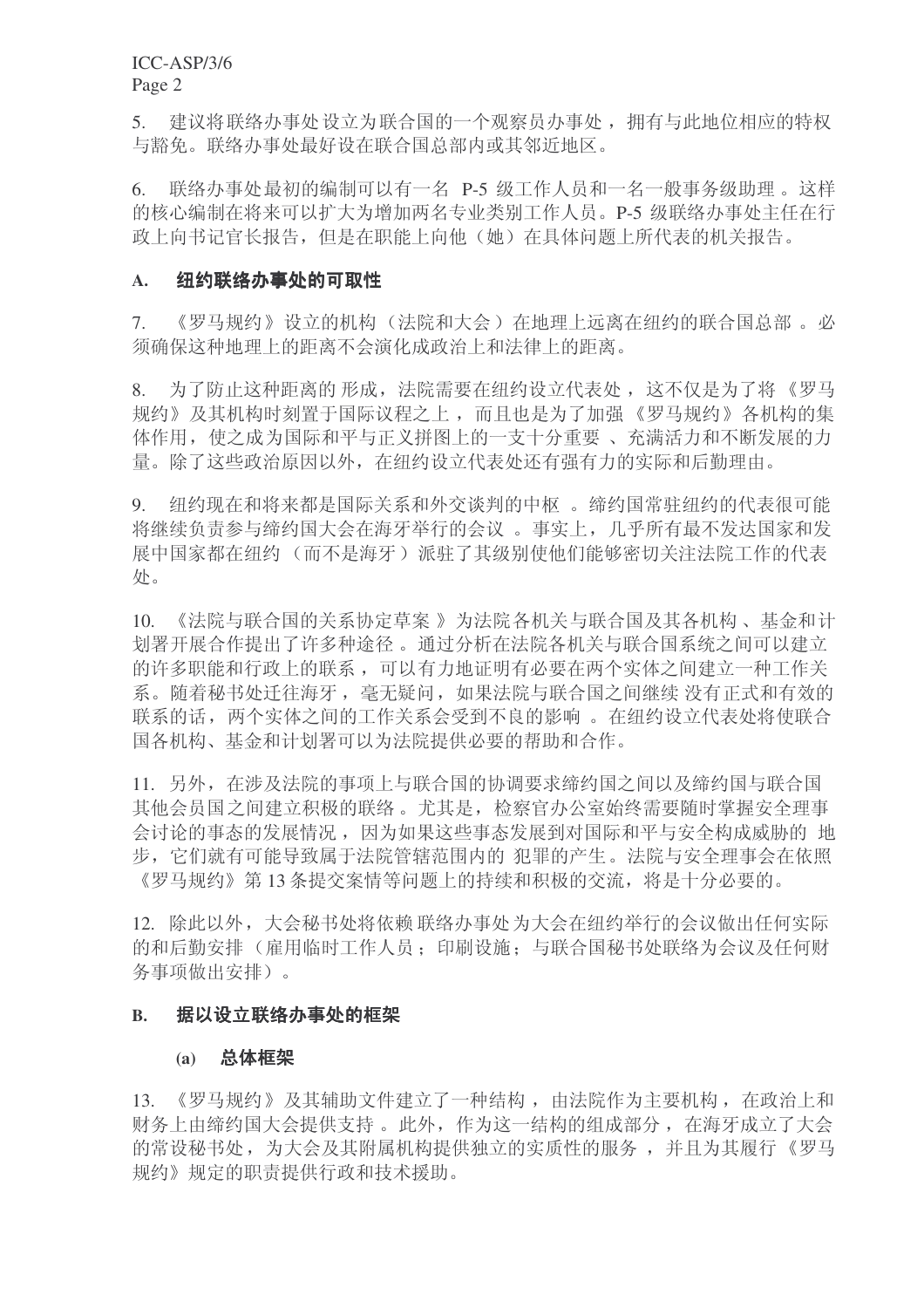ICC-ASP/3/6 Page 2

5. 建议将联络办事处设立为联合国的一个观察员办事处, 拥有与此地位相应的特权 与豁免。联络办事处最好设在联合国总部内或其邻近地区。

6. 联络办事处最初的编制可以有一名 P-5 级工作人员和一名一般事务级助理。这样 的核心编制在将来可以扩大为增加两名专业类别工作人员。P-5 级联络办事处主任在行 政上向书记官长报告,但是在职能上向他(她)在具体问题上所代表的机关报告。

#### A. 纽约联络办事处的可取性

7. 《罗马规约》设立的机构(法院和大会)在地理上远离在纽约的联合国总部。必 须确保这种地理上的距离不会演化成政治上和法律上的距离。

8. 为了防止这种距离的形成, 法院需要在纽约设立代表处, 这不仅是为了将《罗马 规约》及其机构时刻置于国际议程之上,而且也是为了加强《罗马规约》各机构的集 体作用, 使之成为国际和平与正义拼图上的一支十分重要、充满活力和不断发展的力 量。除了这些政治原因以外, 在纽约设立代表处还有强有力的实际和后勤理由。

9. 纽约现在和将来都是国际关系和外交谈判的中枢。缔约国常驻纽约的代表很可能 将继续负责参与缔约国大会在海牙举行的会议。事实上, 几乎所有最不发达国家和发 展中国家都在纽约(而不是海牙)派驻了其级别使他们能够密切关注法院工作的代表 处。

10. 《法院与联合国的关系协定草案 》为法院各机关与联合国及其各机构、基金和计 划署开展合作提出了许多种途径。通过分析在法院各机关与联合国系统之间可以建立 的许多职能和行政上的联系,可以有力地证明有必要在两个实体之间建立一种工作关 系。随着秘书处迁往海牙, 毫无疑问, 如果法院与联合国之间继续 没有正式和有效的 联系的话, 两个实体之间的工作关系会受到不良的影响。在纽约设立代表处将使联合 国各机构、基金和计划署可以为法院提供必要的帮助和合作。

11. 另外, 在涉及法院的事项上与联合国的协调要求缔约国之间以及缔约国与联合国 其他会员国之间建立积极的联络。尤其是, 检察官办公室始终需要随时掌握安全理事 会讨论的事态的发展情况,因为如果这些事态发展到对国际和平与安全构成威胁的 地 步, 它们就有可能导致属于法院管辖范围内的 犯罪的产生。法院与安全理事会在依照 《罗马规约》第13 条提交案情等问题上的持续和积极的交流, 将是十分必要的。

12. 除此以外,大会秘书处将依赖 联络办事处为大会在纽约举行的会议做出任何实际 的和后勤安排(雇用临时工作人员:印刷设施;与联合国秘书处联络为会议及任何财 务事项做出安排)。

#### B. 据以设立联络办事处的框架

#### (a) 总体框架

13. 《罗马规约》及其辅助文件建立了一种结构, 由法院作为主要机构, 在政治上和 财务上由缔约国大会提供支持。此外, 作为这一结构的组成部分, 在海牙成立了大会 的常设秘书处,为大会及其附属机构提供独立的实质性的服务,并且为其履行《罗马 规约》规定的职责提供行政和技术援助。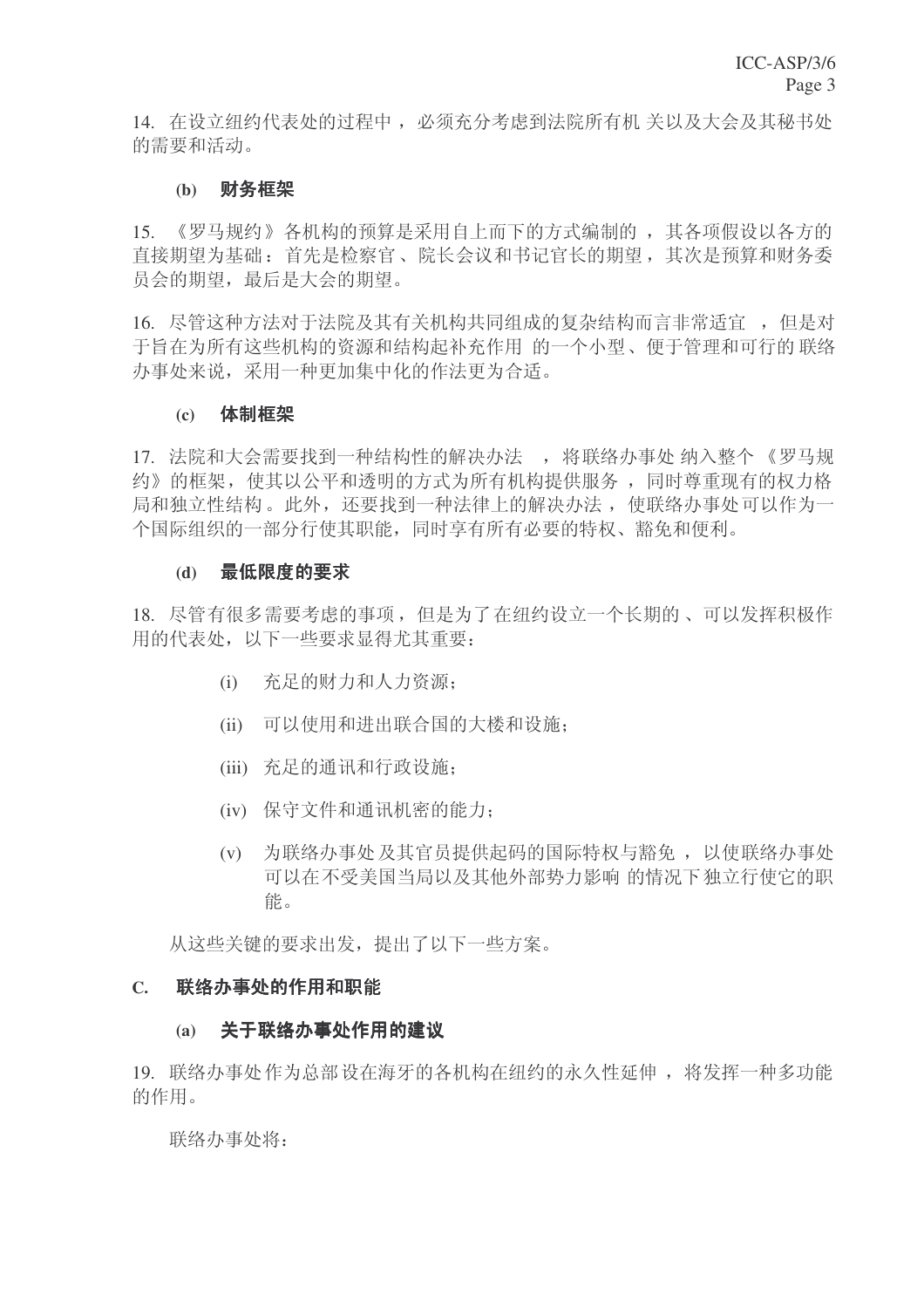14. 在设立纽约代表处的过程中, 必须充分考虑到法院所有机 关以及大会及其秘书处 的需要和活动。

## (b) 财务框架

15. 《罗马规约》各机构的预算是采用自上而下的方式编制的, 其各项假设以各方的 直接期望为基础: 首先是检察官、院长会议和书记官长的期望, 其次是预算和财务委 员会的期望, 最后是大会的期望。

16. 尽管这种方法对于法院及其有关机构共同组成的复杂结构而言非常适宜 ,但是对 于旨在为所有这些机构的资源和结构起补充作用 的一个小型、便于管理和可行的 联络 办事处来说,采用一种更加集中化的作法更为合适。

## (c) 体制框架

17. 法院和大会需要找到一种结构性的解决办法, 将联络办事处 纳入整个《罗马规 约》的框架, 使其以公平和透明的方式为所有机构提供服务, 同时尊重现有的权力格 局和独立性结构。此外, 还要找到一种法律上的解决办法, 使联络办事处可以作为一 个国际组织的一部分行使其职能,同时享有所有必要的特权、豁免和便利。

## (d) 最低限度的要求

18. 尽管有很多需要考虑的事项, 但是为了在纽约设立一个长期的、可以发挥积极作 **用的代表处, 以下一些要求显得尤其重要:** 

- (i) 充足的财力和人力资源:
- (ii) 可以使用和讲出联合国的大楼和设施:
- (iii) 充足的通讯和行政设施;
- (iv) 保守文件和通讯机密的能力:
- (v) 为联络办事处及其官员提供起码的国际特权与豁免, 以使联络办事处 可以在不受美国当局以及其他外部势力影响 的情况下独立行使它的职 能。

从汶些关键的要求出发, 提出了以下一些方案。

#### C. 联络办事处的作用和职能

#### (a) 关于联络办事处作用的建议

19. 联络办事处作为总部设在海牙的各机构在纽约的永久性延伸, 将发挥一种多功能 的作用。

联络办事处将: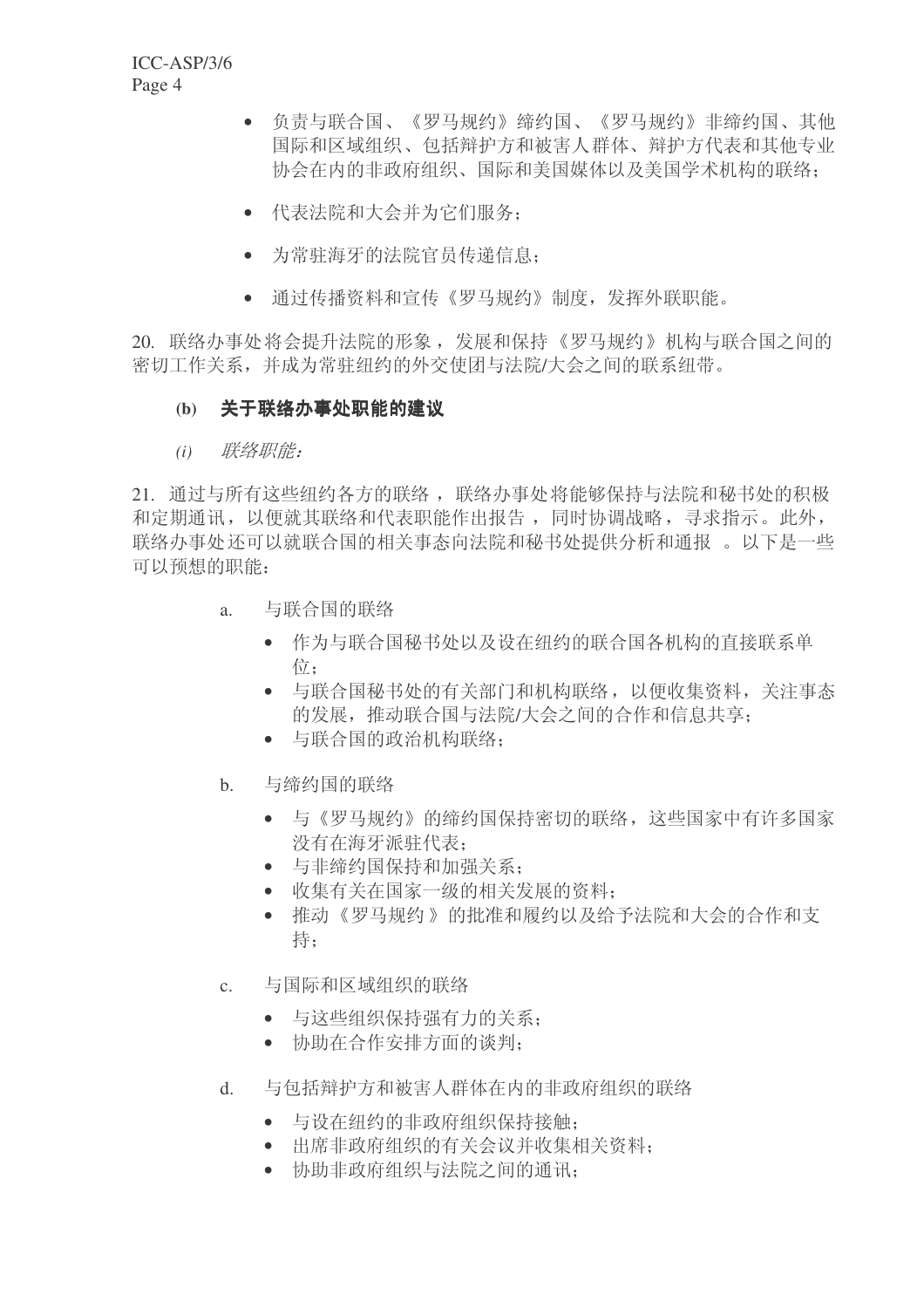- 负责与联合国、《罗马规约》缔约国、《罗马规约》非缔约国、其他 国际和区域组织、包括辩护方和被害人群体、辩护方代表和其他专业 协会在内的非政府组织、国际和美国媒体以及美国学术机构的联络:
- 代表法院和大会并为它们服务:
- 为常驻海牙的法院官员传递信息:
- 通过传播资料和宣传《罗马规约》制度,发挥外联职能。

20. 联络办事处将会提升法院的形象, 发展和保持《罗马规约》机构与联合国之间的 密切工作关系,并成为常驻纽约的外交使团与法院/大会之间的联系纽带。

# (b) 关于联络办事处职能的建议

(i) 联络职能:

21. 通过与所有这些纽约各方的联络, 联络办事处将能够保持与法院和秘书处的积极 和定期通讯,以便就其联络和代表职能作出报告,同时协调战略,寻求指示。此外, 联络办事处还可以就联合国的相关事态向法院和秘书处提供分析和通报。以下是一些 可以预想的职能:

- a. 与联合国的联络
	- 作为与联合国秘书处以及设在纽约的联合国各机构的直接联系单 衍:
	- 与联合国秘书处的有关部门和机构联络,以便收集资料,关注事态 的发展, 推动联合国与法院/大会之间的合作和信息共享:
	- 与联合国的政治机构联络:
- b. 与缔约国的联络
	- 与《罗马规约》的缔约国保持密切的联络,这些国家中有许多国家 没有在海牙派驻代表:
	- 与非缔约国保持和加强关系:
	- 收集有关在国家一级的相关发展的资料;
	- 推动《罗马规约》的批准和履约以及给予法院和大会的合作和支 持:
- c. 与国际和区域组织的联络
	- 与这些组织保持强有力的关系:
	- 协助在合作安排方面的谈判:
- d. 与包括辩护方和被害人群体在内的非政府组织的联络
	- 与设在纽约的非政府组织保持接触:
	- 出席非政府组织的有关会议并收集相关资料:
	- 协助非政府组织与法院之间的通讯: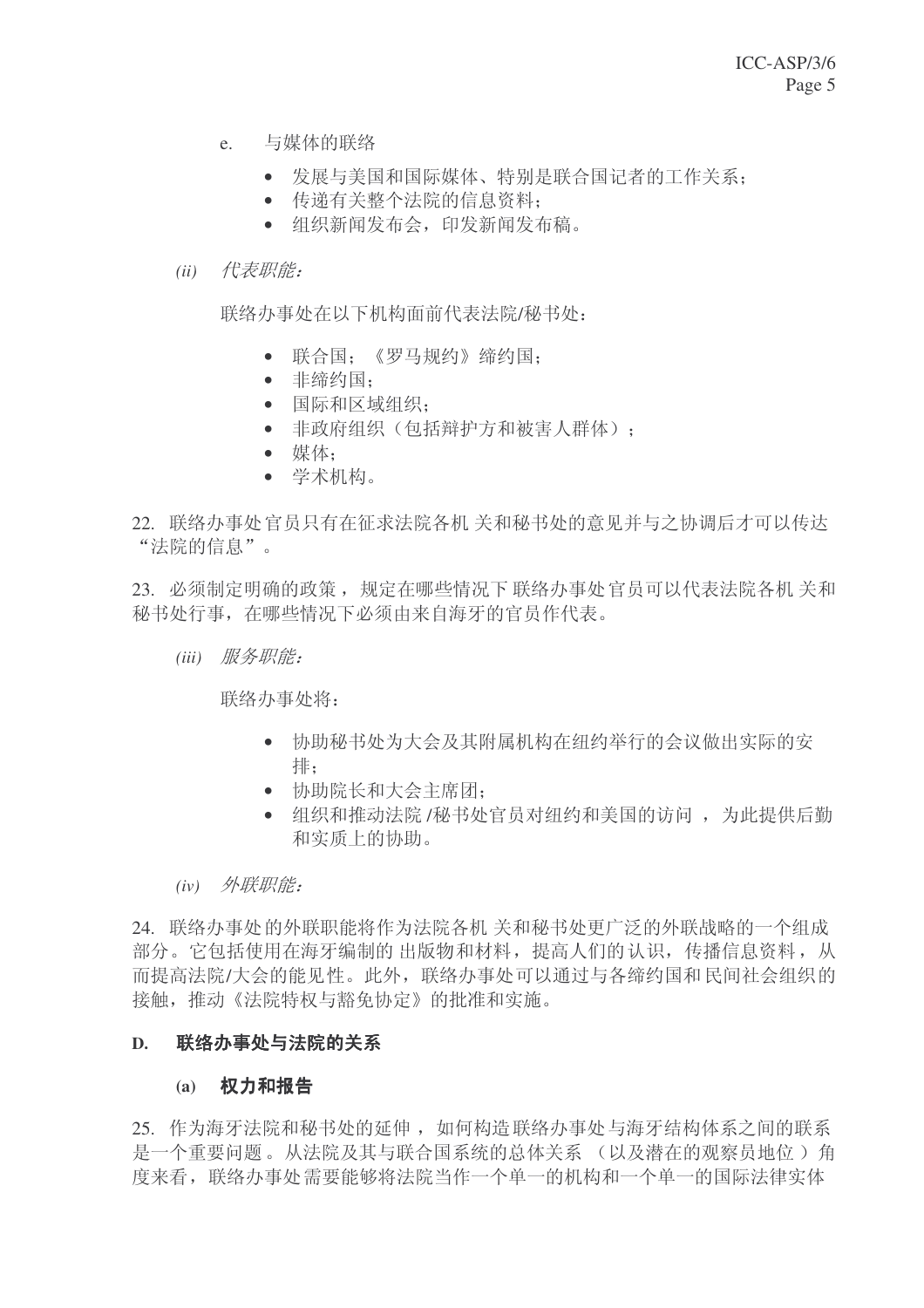- e. 与媒体的联络
	- 发展与美国和国际媒体、特别是联合国记者的工作关系:
	- 传递有关整个法院的信息资料:
	- 组织新闻发布会,印发新闻发布稿。

## (ii) 代表职能:

联络办事处在以下机构面前代表法院/秘书处:

- 联合国:《罗马规约》缔约国:
- 非缔约国:
- 国际和区域组织:
- 非政府组织(包括辩护方和被害人群体):
- $\bullet$  媒体:
- 学术机构。
- 22. 联络办事处官员只有在征求法院各机关和秘书处的意见并与之协调后才可以传达 "法院的信息"。

23. 必须制定明确的政策, 规定在哪些情况下联络办事处官员可以代表法院各机 关和 秘书处行事, 在哪些情况下必须由来自海牙的官员作代表。

(iii) 服务职能:

联络办事处将:

- 协助秘书处为大会及其附属机构在纽约举行的会议做出实际的安 排:
- 协助院长和大会主席团:
- 组织和推动法院 /秘书处官员对纽约和美国的访问, 为此提供后勤 和实质上的协助。
- (iv) 外联职能:

24. 联络办事处的外联职能将作为法院各机 关和秘书处更广泛的外联战略的一个组成 部分。它包括使用在海牙编制的出版物和材料, 提高人们的认识, 传播信息资料, 从 而提高法院/大会的能见性。此外, 联络办事处可以通过与各缔约国和民间社会组织的 接触, 推动《法院特权与豁免协定》的批准和实施。

#### D. 联络办事处与法院的关系

#### (a) 权力和报告

25. 作为海牙法院和秘书处的延伸, 如何构造联络办事处与海牙结构体系之间的联系 是一个重要问题。从法院及其与联合国系统的总体关系 (以及潜在的观察员地位) 角 度来看, 联络办事处需要能够将法院当作一个单一的机构和一个单一的国际法律实体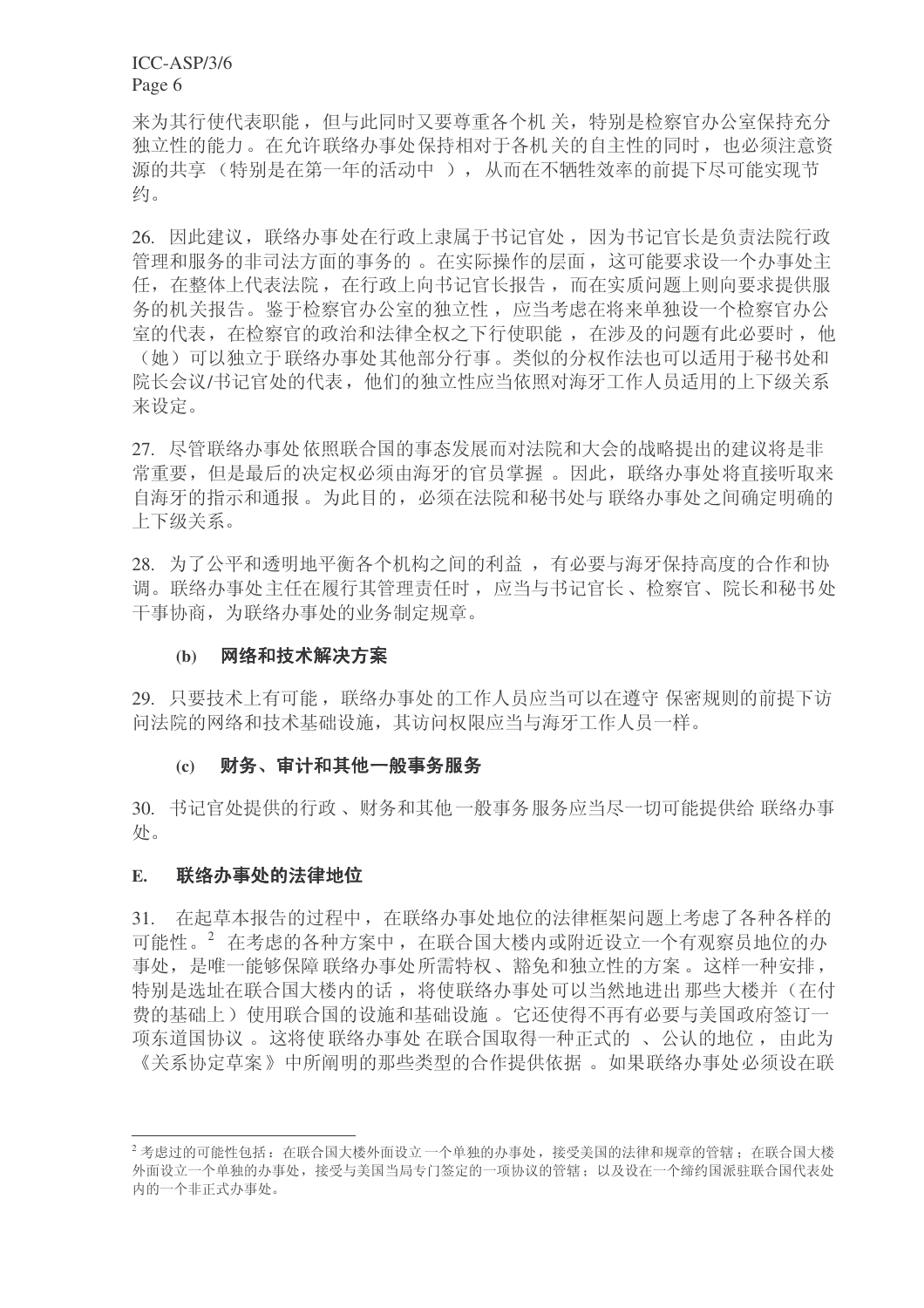ICC-ASP/3/6 Page 6

来为其行使代表职能,但与此同时又要尊重各个机关,特别是检察官办公室保持充分 独立性的能力。在允许联络办事处保持相对于各机关的自主性的同时,也必须注意资 源的共享(特别是在第一年的活动中), 从而在不牺牲效率的前提下尽可能实现节 约。

26. 因此建议, 联络办事处在行政上隶属于书记官处, 因为书记官长是负责法院行政 管理和服务的非司法方面的事务的。在实际操作的层面,这可能要求设一个办事处主 任, 在整体上代表法院, 在行政上向书记官长报告, 而在实质问题上则向要求提供服 务的机关报告。鉴于检察官办公室的独立性, 应当考虑在将来单独设一个检察官办公 室的代表, 在检察官的政治和法律全权之下行使职能, 在涉及的问题有此必要时, 他 (她)可以独立于联络办事处其他部分行事。类似的分权作法也可以适用于秘书处和 院长会议/书记官处的代表,他们的独立性应当依照对海牙工作人员适用的上下级关系 来设定。

27. 尽管联络办事处依照联合国的事态发展而对法院和大会的战略提出的建议将是非 常重要, 但是最后的决定权必须由海牙的官员掌握。因此, 联络办事处将直接听取来 自海牙的指示和通报。为此目的, 必须在法院和秘书处与 联络办事处之间确定明确的 上下级关系。

28. 为了公平和透明地平衡各个机构之间的利益, 有必要与海牙保持高度的合作和协 调。联络办事处主任在履行其管理责任时,应当与书记官长、检察官、院长和秘书处 干事协商,为联络办事处的业务制定规章。

#### (b) 网络和技术解决方案

29. 只要技术上有可能, 联络办事处的工作人员应当可以在遵守 保密规则的前提下访 问法院的网络和技术基础设施, 其访问权限应当与海牙工作人员一样。

#### (c) 财务、审计和其他一般事务服务

30. 书记官处提供的行政、财务和其他一般事务服务应当尽一切可能提供给 联络办事 处。

#### E. 联络办事处的法律地位

31. 在起草本报告的过程中, 在联络办事处地位的法律框架问题上考虑了各种各样的 可能性。<sup>2</sup> 在考虑的各种方案中, 在联合国大楼内或附近设立一个有观察员地位的办 事处, 是唯一能够保障 联络办事处所需特权、豁免和独立性的方案。这样一种安排, 特别是选址在联合国大楼内的话, 将使联络办事处可以当然地进出那些大楼并(在付 费的基础上) 使用联合国的设施和基础设施。它还使得不再有必要与美国政府签订一 项东道国协议 。这将使 联络办事处 在联合国取得一种正式的 、 公认的地位 , 由此为 《关系协定草案》中所阐明的那些类型的合作提供依据。如果联络办事处必须设在联

 $^{2}$ 考虑过的可能性包括: 在联合国大楼外面设立一个单独的办事处, 接受美国的法律和规章的管辖: 在联合国大楼 外面设立一个单独的办事处,接受与美国当局专门签定的一项协议的管辖;以及设在一个缔约国派驻联合国代表处 内的一个非正式办事处。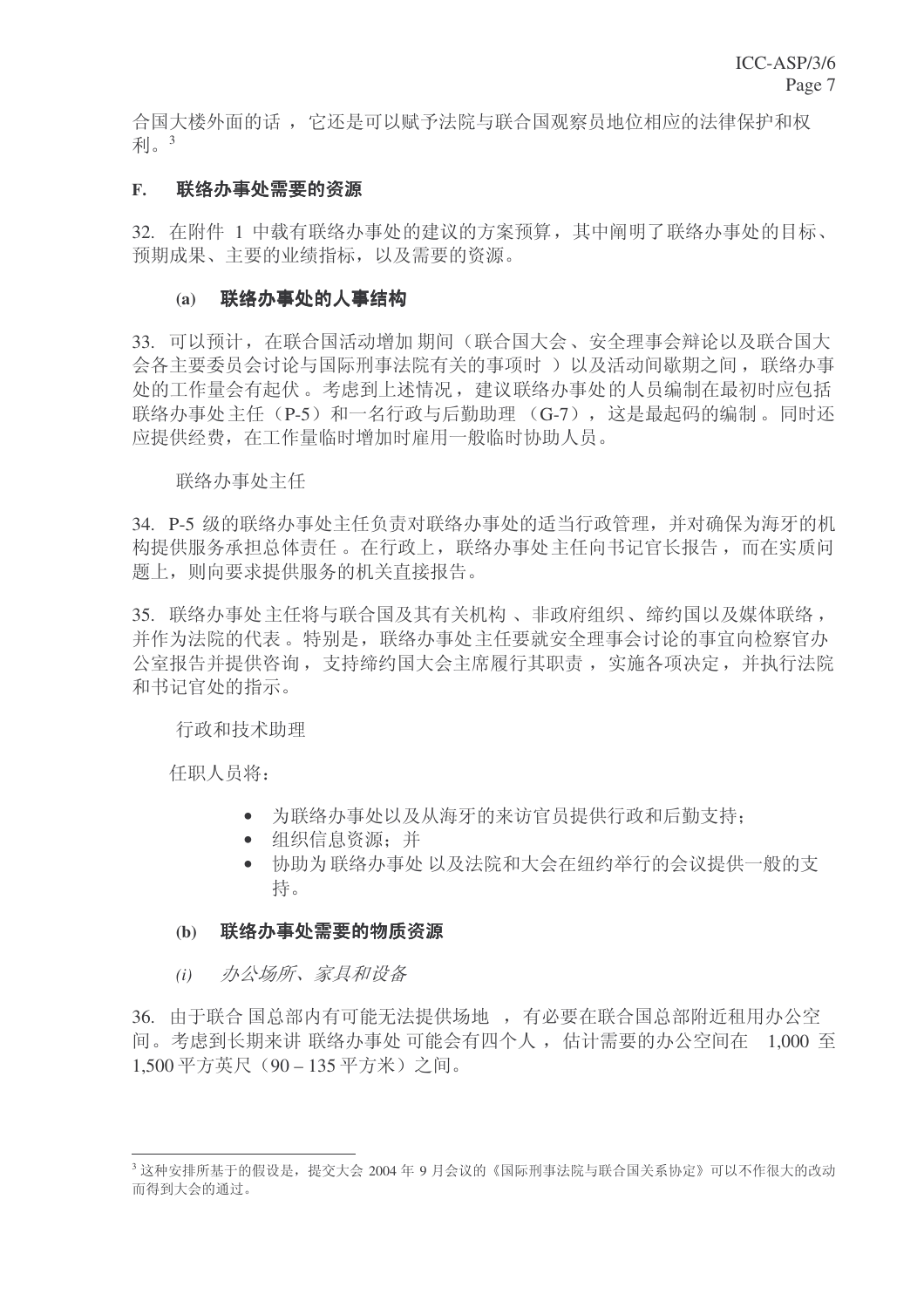合国大楼外面的话, 它还是可以赋予法院与联合国观察员地位相应的法律保护和权 利 $3$ 

## F. 联络办事处需要的资源

32. 在附件 1 中载有联络办事处的建议的方案预算, 其中阐明了联络办事处的目标、 预期成果、主要的业绩指标,以及需要的资源。

## (a) 联络办事处的人事结构

33. 可以预计, 在联合国活动增加 期间(联合国大会、安全理事会辩论以及联合国大 会各主要委员会讨论与国际刑事法院有关的事项时)以及活动间歇期之间, 联络办事 处的工作量会有起伏。考虑到上述情况, 建议联络办事处的人员编制在最初时应包括 联络办事处主任 (P-5) 和一名行政与后勤助理 (G-7), 这是最起码的编制。同时还 应提供经费, 在工作量临时增加时雇用一般临时协助人员。

#### 联络办事处主任

34. P-5 级的联络办事处主任负责对联络办事处的话当行政管理, 并对确保为海牙的机 构提供服务承担总体责任。在行政上, 联络办事处主任向书记官长报告, 而在实质问 题上, 则向要求提供服务的机关直接报告。

35. 联络办事处主任将与联合国及其有关机构、非政府组织、缔约国以及媒体联络, 并作为法院的代表。特别是, 联络办事处主任要就安全理事会讨论的事宜向检察官办 公室报告并提供咨询, 支持缔约国大会主席履行其职责, 实施各项决定, 并执行法院 和书记官处的指示。

行政和技术助理

任职人员将:

- 为联络办事处以及从海牙的来访官员提供行政和后勤支持:
- 组织信息资源: 并
- 协助为联络办事处 以及法院和大会在纽约举行的会议提供一般的支 持。

#### (b) 联络办事处需要的物质资源

(i) 办公场所、家具和设备

36. 由于联合国总部内有可能无法提供场地,有必要在联合国总部附近租用办公空 间。考虑到长期来讲 联络办事处 可能会有四个人, 估计需要的办公空间在 1,000 至 1,500 平方英尺 (90-135 平方米) 之间。

 $^3$ 这种安排所基于的假设是,提交大会 2004 年 9 月会议的《国际刑事法院与联合国关系协定》可以不作很大的改动 而得到大会的通过。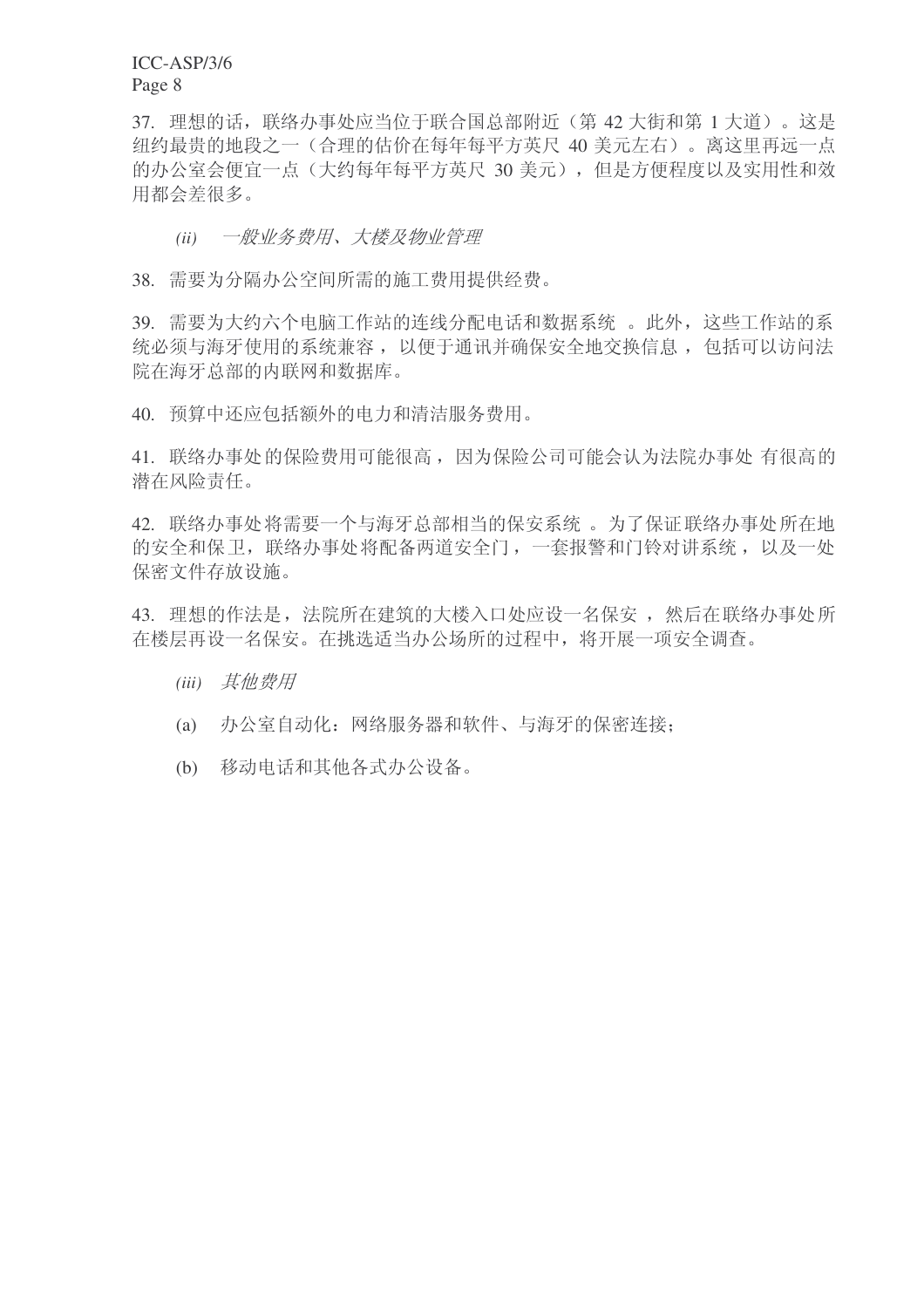ICC-ASP/3/6 Page 8

37. 理想的话, 联络办事处应当位于联合国总部附近(第42大街和第1大道)。这是 纽约最贵的地段之一(合理的估价在每年每平方英尺 40 美元左右)。离这里再远一点 的办公室会便宜一点(大约每年每平方英尺 30 美元), 但是方便程度以及实用性和效 用都会差很多。

## *(ii)* 一般业务费用、大楼及物业管理

38. 需要为分隔办公空间所需的施工费用提供经费。

39. 需要为大约六个电脑工作站的连线分配电话和数据系统。此外,这些工作站的系 统必须与海牙使用的系统兼容, 以便于通讯并确保安全地交换信息, 包括可以访问法 院在海牙总部的内联网和数据库。

40. 预算中还应包括额外的电力和清洁服务费用。

41. 联络办事处的保险费用可能很高,因为保险公司可能会认为法院办事处 有很高的 潜在风险责任。

42. 联络办事处将需要一个与海牙总部相当的保安系统。为了保证联络办事处所在地 的安全和保卫, 联络办事处将配备两道安全门, 一套报警和门铃对讲系统, 以及一处 保密文件存放设施。

43. 理想的作法是, 法院所在建筑的大楼入口处应设一名保安, 然后在联络办事处所 在楼层再设一名保安。在挑选适当办公场所的过程中, 将开展一项安全调查。

- (iii) 其他费用
- (a) 办公室自动化: 网络服务器和软件、与海牙的保密连接;
- (b) 移动电话和其他各式办公设备。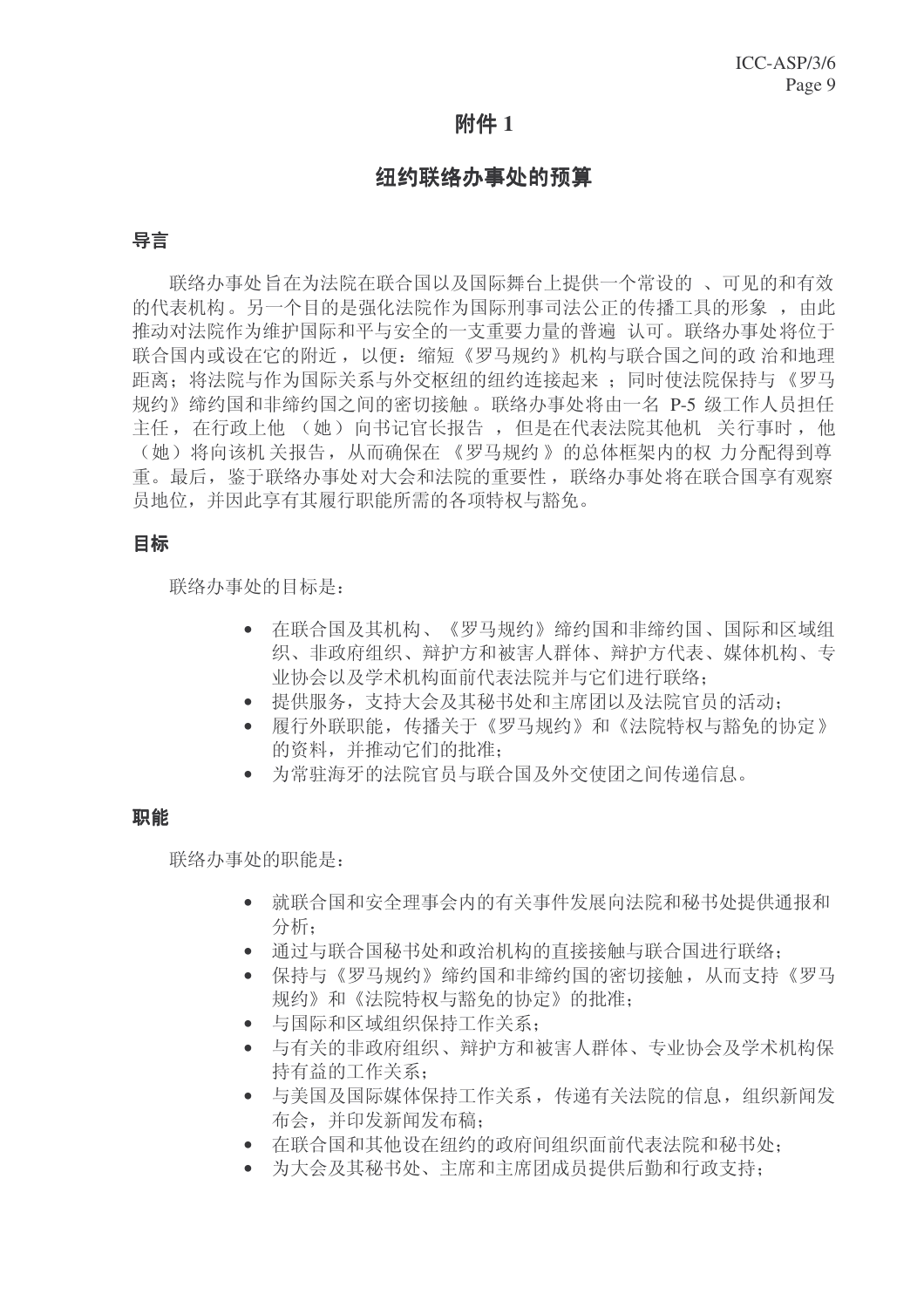# 附件 1

## 纽约联络小事处的预算

## 导言

联络办事处旨在为法院在联合国以及国际舞台上提供一个常设的。可见的和有效 的代表机构。另一个目的是强化法院作为国际刑事司法公正的传播工具的形象, 由此 推动对法院作为维护国际和平与安全的一支重要力量的普遍 认可。联络办事处将位于 联合国内或设在它的附近, 以便: 缩短《罗马规约》机构与联合国之间的政治和地理 距离: 将法院与作为国际关系与外交枢纽的纽约连接起来; 同时使法院保持与《罗马 规约》缔约国和非缔约国之间的密切接触。联络办事处将由一名 P-5 级工作人员担任 主任, 在行政上他 (她) 向书记官长报告, 但是在代表法院其他机 关行事时, 他 (她) 将向该机 关报告, 从而确保在 《罗马规约》的总体框架内的权 力分配得到尊 重。最后, 鉴于联络办事处对大会和法院的重要性, 联络办事处将在联合国享有观察 员地位,并因此享有其履行职能所需的各项特权与豁免。

## 目标

联络办事处的目标是:

- 在联合国及其机构、《罗马规约》缔约国和非缔约国、国际和区域组 织、非政府组织、辩护方和被害人群体、辩护方代表、媒体机构、专 业协会以及学术机构面前代表法院并与它们讲行联络:
- 提供服务, 支持大会及其秘书处和主席团以及法院官员的活动:
- 履行外联职能, 传播关于《罗马规约》和《法院特权与豁免的协定》 的资料,并推动它们的批准:
- 为常驻海牙的法院官员与联合国及外交使团之间传递信息。

## 职能

联络办事处的职能是:

- 就联合国和安全理事会内的有关事件发展向法院和秘书处提供通报和 分析:
- 通过与联合国秘书处和政治机构的直接接触与联合国进行联络:
- 保持与《罗马规约》缔约国和非缔约国的密切接触, 从而支持《罗马 规约》和《法院特权与豁免的协定》的批准:
- 与国际和区域组织保持工作关系:
- 与有关的非政府组织、辩护方和被害人群体、专业协会及学术机构保 持有益的工作关系:
- 与美国及国际媒体保持工作关系, 传递有关法院的信息, 组织新闻发 布会, 并印发新闻发布稿:
- 在联合国和其他设在纽约的政府间组织面前代表法院和秘书处:
- 为大会及其秘书处、主席和主席团成员提供后勤和行政支持: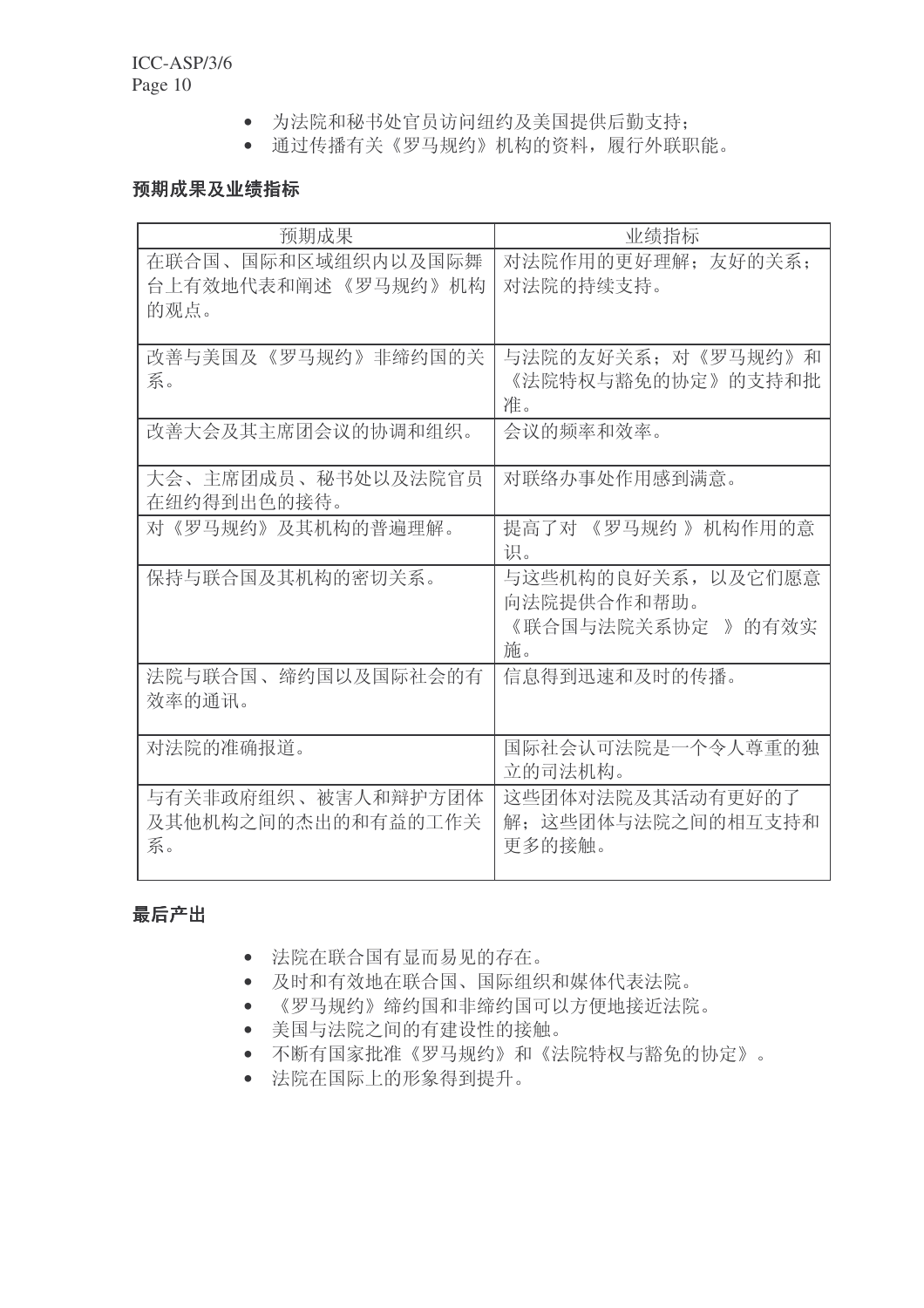- 为法院和秘书处官员访问纽约及美国提供后勤支持;
- 通过传播有关《罗马规约》机构的资料,履行外联职能。

## 预期成果及业绩指标

| 预期成果                                               | 业绩指标                                                          |  |  |  |  |
|----------------------------------------------------|---------------------------------------------------------------|--|--|--|--|
| 在联合国、国际和区域组织内以及国际舞<br>台上有效地代表和阐述 《罗马规约》 机构<br>的观点。 | 对法院作用的更好理解: 友好的关系:<br>对法院的持续支持。                               |  |  |  |  |
| 改善与美国及《罗马规约》非缔约国的关<br>系。                           | 与法院的友好关系: 对《罗马规约》和<br>《法院特权与豁免的协定》的支持和批<br>准。                 |  |  |  |  |
| 改善大会及其主席团会议的协调和组织。                                 | 会议的频率和效率。                                                     |  |  |  |  |
| 大会、主席团成员、秘书处以及法院官员<br>在纽约得到出色的接待。                  | 对联络办事处作用感到满意。                                                 |  |  |  |  |
| 对《罗马规约》及其机构的普遍理解。                                  | 提高了对 《罗马规约》 机构作用的意<br>识。                                      |  |  |  |  |
| 保持与联合国及其机构的密切关系。                                   | 与这些机构的良好关系, 以及它们愿意<br>向法院提供合作和帮助。<br>《联合国与法院关系协定 》 的有效实<br>施。 |  |  |  |  |
| 法院与联合国、缔约国以及国际社会的有<br>效率的通讯。                       | 信息得到迅速和及时的传播。                                                 |  |  |  |  |
| 对法院的准确报道。                                          | 国际社会认可法院是一个令人尊重的独<br>立的司法机构。                                  |  |  |  |  |
| 与有关非政府组织、被害人和辩护方团体<br>及其他机构之间的杰出的和有益的工作关<br>系。     | 这些团体对法院及其活动有更好的了<br>解; 这些团体与法院之间的相互支持和<br>更多的接触。              |  |  |  |  |

# 最后产出

- 法院在联合国有显而易见的存在。
- 及时和有效地在联合国、国际组织和媒体代表法院。
- 《罗马规约》缔约国和非缔约国可以方便地接近法院。
- 美国与法院之间的有建设性的接触。
- 不断有国家批准《罗马规约》和《法院特权与豁免的协定》。
- 法院在国际上的形象得到提升。